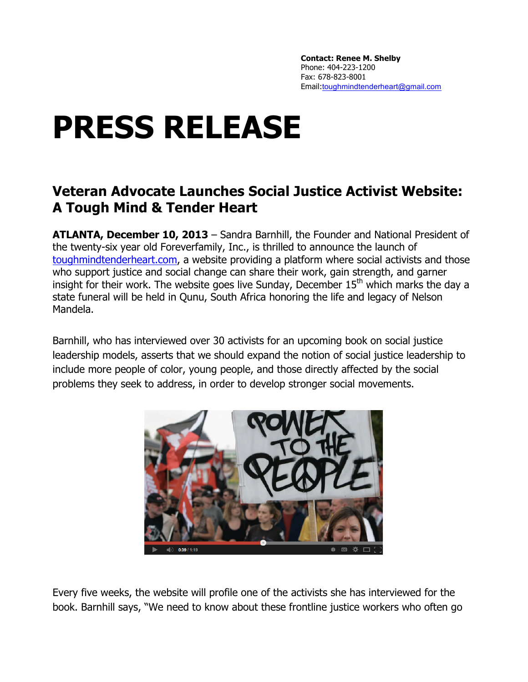**Contact: Renee M. Shelby** Phone: 404-223-1200 Fax: 678-823-8001 Email:toughmindtenderheart@gmail.com

## **PRESS RELEASE**

## **Veteran Advocate Launches Social Justice Activist Website: A Tough Mind & Tender Heart**

**ATLANTA, December 10, 2013** – Sandra Barnhill, the Founder and National President of the twenty-six year old Foreverfamily, Inc., is thrilled to announce the launch of toughmindtenderheart.com, a website providing a platform where social activists and those who support justice and social change can share their work, gain strength, and garner insight for their work. The website goes live Sunday, December  $15<sup>th</sup>$  which marks the day a state funeral will be held in Qunu, South Africa honoring the life and legacy of Nelson Mandela.

Barnhill, who has interviewed over 30 activists for an upcoming book on social justice leadership models, asserts that we should expand the notion of social justice leadership to include more people of color, young people, and those directly affected by the social problems they seek to address, in order to develop stronger social movements.



Every five weeks, the website will profile one of the activists she has interviewed for the book. Barnhill says, "We need to know about these frontline justice workers who often go